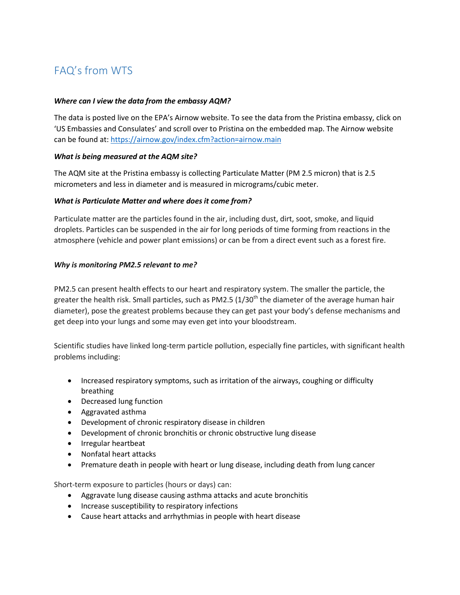# FAQ's from WTS

#### *Where can I view the data from the embassy AQM?*

The data is posted live on the EPA's Airnow website. To see the data from the Pristina embassy, click on 'US Embassies and Consulates' and scroll over to Pristina on the embedded map. The Airnow website can be found at:<https://airnow.gov/index.cfm?action=airnow.main>

#### *What is being measured at the AQM site?*

The AQM site at the Pristina embassy is collecting Particulate Matter (PM 2.5 micron) that is 2.5 micrometers and less in diameter and is measured in micrograms/cubic meter.

#### *What is Particulate Matter and where does it come from?*

Particulate matter are the particles found in the air, including dust, dirt, soot, smoke, and liquid droplets. Particles can be suspended in the air for long periods of time forming from reactions in the atmosphere (vehicle and power plant emissions) or can be from a direct event such as a forest fire.

#### *Why is monitoring PM2.5 relevant to me?*

PM2.5 can present health effects to our heart and respiratory system. The smaller the particle, the greater the health risk. Small particles, such as PM2.5  $(1/30<sup>th</sup>$  the diameter of the average human hair diameter), pose the greatest problems because they can get past your body's defense mechanisms and get deep into your lungs and some may even get into your bloodstream.

Scientific studies have linked long-term particle pollution, especially fine particles, with significant health problems including:

- Increased respiratory symptoms, such as irritation of the airways, coughing or difficulty breathing
- Decreased lung function
- Aggravated asthma
- Development of chronic respiratory disease in children
- Development of chronic bronchitis or chronic obstructive lung disease
- Irregular heartbeat
- Nonfatal heart attacks
- Premature death in people with heart or lung disease, including death from lung cancer

Short-term exposure to particles (hours or days) can:

- Aggravate lung disease causing asthma attacks and acute bronchitis
- Increase susceptibility to respiratory infections
- Cause heart attacks and arrhythmias in people with heart disease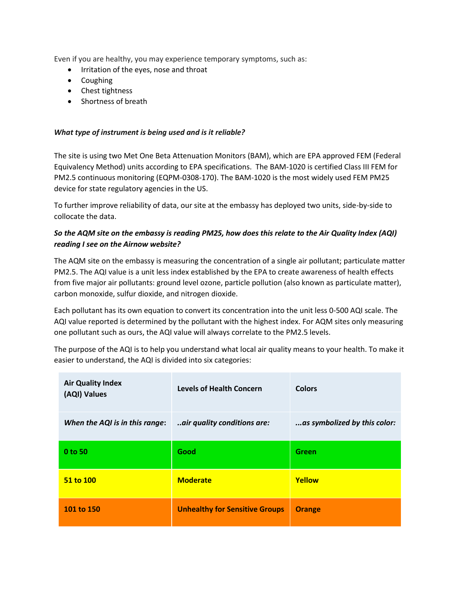Even if you are healthy, you may experience temporary symptoms, such as:

- Irritation of the eyes, nose and throat
- Coughing
- Chest tightness
- Shortness of breath

### *What type of instrument is being used and is it reliable?*

The site is using two Met One Beta Attenuation Monitors (BAM), which are EPA approved FEM (Federal Equivalency Method) units according to EPA specifications. The BAM-1020 is certified Class III FEM for PM2.5 continuous monitoring (EQPM-0308-170). The BAM-1020 is the most widely used FEM PM25 device for state regulatory agencies in the US.

To further improve reliability of data, our site at the embassy has deployed two units, side-by-side to collocate the data.

## *So the AQM site on the embassy is reading PM25, how does this relate to the Air Quality Index (AQI) reading I see on the Airnow website?*

The AQM site on the embassy is measuring the concentration of a single air pollutant; particulate matter PM2.5. The AQI value is a unit less index established by the EPA to create awareness of health effects from five major air pollutants: ground level ozone, particle pollution (also known as particulate matter), carbon monoxide, sulfur dioxide, and nitrogen dioxide.

Each pollutant has its own equation to convert its concentration into the unit less 0-500 AQI scale. The AQI value reported is determined by the pollutant with the highest index. For AQM sites only measuring one pollutant such as ours, the AQI value will always correlate to the PM2.5 levels.

The purpose of the AQI is to help you understand what local air quality means to your health. To make it easier to understand, the AQI is divided into six categories:

| <b>Air Quality Index</b><br>(AQI) Values | <b>Levels of Health Concern</b>       | <b>Colors</b>                |
|------------------------------------------|---------------------------------------|------------------------------|
| When the AQI is in this range:           | air quality conditions are:           | as symbolized by this color: |
| 0 to 50                                  | Good                                  | Green                        |
| 51 to 100                                | <b>Moderate</b>                       | Yellow                       |
| 101 to 150                               | <b>Unhealthy for Sensitive Groups</b> | <b>Orange</b>                |